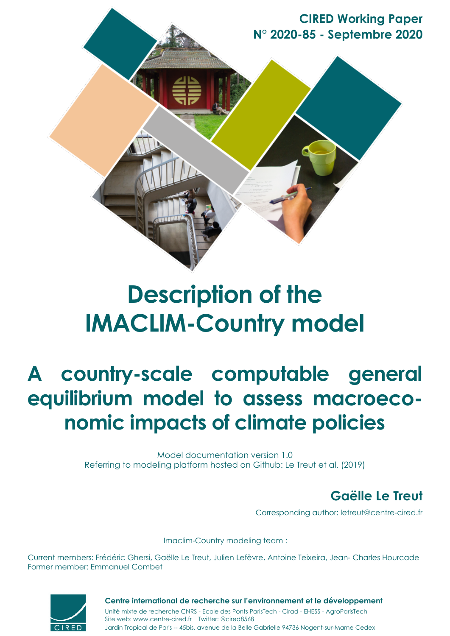**CIRED Working Paper N° 2020-85 - Septembre 2020**

# **Description of the IMACLIM-Country model**

# **A country-scale computable general equilibrium model to assess macroeconomic impacts of climate policies**

Model documentation version 1.0 Referring to modeling platform hosted on Github: Le Treut et al. (2019)

# **Gaëlle Le Treut**

Corresponding author: letreut@centre-cired.fr

Imaclim-Country modeling team :

Current members: Frédéric Ghersi, Gaëlle Le Treut, Julien Lefèvre, Antoine Teixeira, Jean- Charles Hourcade Former member: Emmanuel Combet



Jardin Tropical de Paris -- 45bis, avenue de la Belle Gabrielle 94736 Nogent-sur-Marne Cedex Site web: www.centre-cired.fr Twitter: @cired8568 **Centre international de recherche sur l'environnement et le développement** Unité mixte de recherche CNRS - Ecole des Ponts ParisTech - Cirad - EHESS - AgroParisTech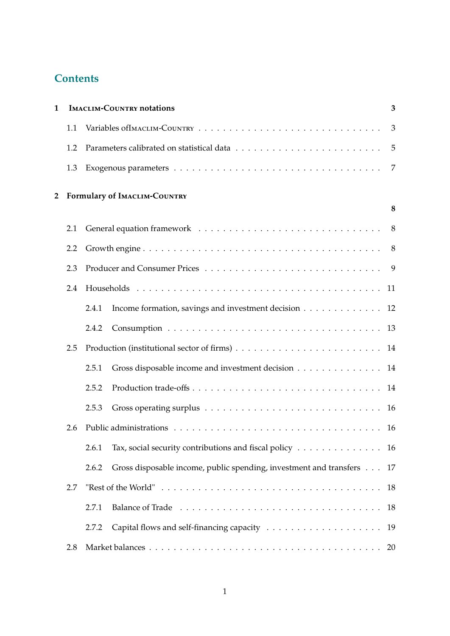# **Contents**

| $\mathbf 1$ |     | <b>IMACLIM-COUNTRY notations</b>                                                              |    |  |  |  |
|-------------|-----|-----------------------------------------------------------------------------------------------|----|--|--|--|
|             | 1.1 |                                                                                               | 3  |  |  |  |
|             | 1.2 |                                                                                               | 5  |  |  |  |
|             | 1.3 |                                                                                               | 7  |  |  |  |
| 2           |     | Formulary of IMACLIM-COUNTRY                                                                  |    |  |  |  |
|             |     |                                                                                               | 8  |  |  |  |
|             | 2.1 |                                                                                               | 8  |  |  |  |
|             | 2.2 |                                                                                               | 8  |  |  |  |
|             | 2.3 |                                                                                               |    |  |  |  |
|             | 2.4 |                                                                                               |    |  |  |  |
|             |     | Income formation, savings and investment decision 12<br>2.4.1                                 |    |  |  |  |
|             |     | 2.4.2                                                                                         |    |  |  |  |
|             | 2.5 |                                                                                               |    |  |  |  |
|             |     | Gross disposable income and investment decision<br>2.5.1                                      | 14 |  |  |  |
|             |     | 2.5.2                                                                                         |    |  |  |  |
|             |     | 2.5.3                                                                                         |    |  |  |  |
|             | 2.6 |                                                                                               |    |  |  |  |
|             |     | Tax, social security contributions and fiscal policy $\dots \dots \dots \dots \dots$<br>2.6.1 |    |  |  |  |
|             |     | Gross disposable income, public spending, investment and transfers<br>2.6.2                   | 17 |  |  |  |
|             | 2.7 |                                                                                               | 18 |  |  |  |
|             |     | 2.7.1                                                                                         | 18 |  |  |  |
|             |     | 2.7.2                                                                                         | 19 |  |  |  |
|             | 2.8 |                                                                                               |    |  |  |  |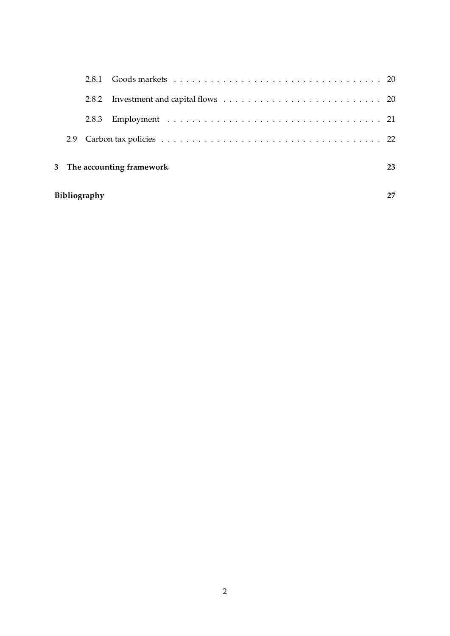| Bibliography               |       |  |  |  |  |  |
|----------------------------|-------|--|--|--|--|--|
| 3 The accounting framework |       |  |  |  |  |  |
| 2.9                        |       |  |  |  |  |  |
|                            | 2.8.3 |  |  |  |  |  |
|                            | 2.8.2 |  |  |  |  |  |
|                            |       |  |  |  |  |  |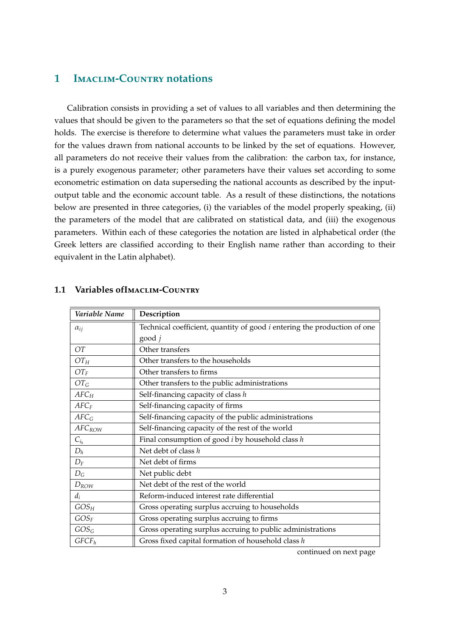## **1 I**maclim**-C**ountry **notations**

Calibration consists in providing a set of values to all variables and then determining the values that should be given to the parameters so that the set of equations defining the model holds. The exercise is therefore to determine what values the parameters must take in order for the values drawn from national accounts to be linked by the set of equations. However, all parameters do not receive their values from the calibration: the carbon tax, for instance, is a purely exogenous parameter; other parameters have their values set according to some econometric estimation on data superseding the national accounts as described by the inputoutput table and the economic account table. As a result of these distinctions, the notations below are presented in three categories, (i) the variables of the model properly speaking, (ii) the parameters of the model that are calibrated on statistical data, and (iii) the exogenous parameters. Within each of these categories the notation are listed in alphabetical order (the Greek letters are classified according to their English name rather than according to their equivalent in the Latin alphabet).

| Variable Name     | Description                                                                     |  |  |  |
|-------------------|---------------------------------------------------------------------------------|--|--|--|
| $\alpha_{ij}$     | Technical coefficient, quantity of good <i>i</i> entering the production of one |  |  |  |
|                   | $good$ $i$                                                                      |  |  |  |
| <b>OT</b>         | Other transfers                                                                 |  |  |  |
| $OT_H$            | Other transfers to the households                                               |  |  |  |
| $OT_F$            | Other transfers to firms                                                        |  |  |  |
| $OT_G$            | Other transfers to the public administrations                                   |  |  |  |
| $AFC_H$           | Self-financing capacity of class $h$                                            |  |  |  |
| $AFC_F$           | Self-financing capacity of firms                                                |  |  |  |
| $AFC_G$           | Self-financing capacity of the public administrations                           |  |  |  |
| <b>AFCROW</b>     | Self-financing capacity of the rest of the world                                |  |  |  |
| $C_{i_h}$         | Final consumption of good $i$ by household class $h$                            |  |  |  |
| $D_h$             | Net debt of class h                                                             |  |  |  |
| $D_F$             | Net debt of firms                                                               |  |  |  |
| $D_G$             | Net public debt                                                                 |  |  |  |
| $D_{ROW}$         | Net debt of the rest of the world                                               |  |  |  |
| $d_i$             | Reform-induced interest rate differential                                       |  |  |  |
| $GOS_H$           | Gross operating surplus accruing to households                                  |  |  |  |
| $GOS_F$           | Gross operating surplus accruing to firms                                       |  |  |  |
| $GOS_G$           | Gross operating surplus accruing to public administrations                      |  |  |  |
| GFCF <sub>h</sub> | Gross fixed capital formation of household class $h$                            |  |  |  |

### **1.1 Variables ofI**maclim**-C**ountry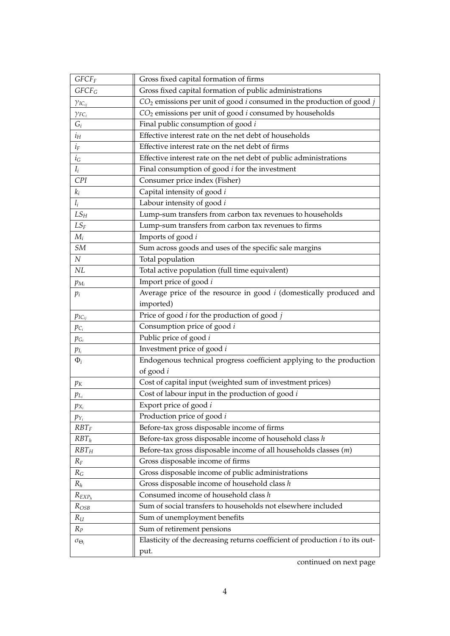| GFCF                                                                         | Gross fixed capital formation of firms                                                |  |  |  |  |
|------------------------------------------------------------------------------|---------------------------------------------------------------------------------------|--|--|--|--|
| Gross fixed capital formation of public administrations<br>GFCF <sub>G</sub> |                                                                                       |  |  |  |  |
| $\gamma_{IC_{ij}}$                                                           | $CO2$ emissions per unit of good <i>i</i> consumed in the production of good <i>j</i> |  |  |  |  |
| $\gamma_{FC_i}$                                                              | $CO2$ emissions per unit of good $i$ consumed by households                           |  |  |  |  |
| $G_i$                                                                        | Final public consumption of good i                                                    |  |  |  |  |
| $i_H$                                                                        | Effective interest rate on the net debt of households                                 |  |  |  |  |
| $i_F$                                                                        | Effective interest rate on the net debt of firms                                      |  |  |  |  |
| $i_G$                                                                        | Effective interest rate on the net debt of public administrations                     |  |  |  |  |
| $I_i$                                                                        | Final consumption of good $i$ for the investment                                      |  |  |  |  |
| CPI                                                                          | Consumer price index (Fisher)                                                         |  |  |  |  |
| $k_i$                                                                        | Capital intensity of good i                                                           |  |  |  |  |
| $l_i$                                                                        | Labour intensity of good i                                                            |  |  |  |  |
| $LS_H$                                                                       | Lump-sum transfers from carbon tax revenues to households                             |  |  |  |  |
| $LS_F$                                                                       | Lump-sum transfers from carbon tax revenues to firms                                  |  |  |  |  |
| $M_i$                                                                        | Imports of good i                                                                     |  |  |  |  |
| ${\cal SM}$                                                                  | Sum across goods and uses of the specific sale margins                                |  |  |  |  |
| $\boldsymbol{N}$                                                             | Total population                                                                      |  |  |  |  |
| NL                                                                           | Total active population (full time equivalent)                                        |  |  |  |  |
| Import price of good i<br>$p_{M_i}$                                          |                                                                                       |  |  |  |  |
| $p_i$                                                                        | Average price of the resource in good $i$ (domestically produced and                  |  |  |  |  |
|                                                                              | imported)                                                                             |  |  |  |  |
| $p_{IC_{ij}}$                                                                | Price of good $i$ for the production of good $j$                                      |  |  |  |  |
| $p_{C_i}$                                                                    | Consumption price of good i                                                           |  |  |  |  |
| $p_{G_i}$                                                                    | Public price of good i                                                                |  |  |  |  |
| $p_{I_i}$                                                                    | Investment price of good i                                                            |  |  |  |  |
| $\Phi_i$                                                                     | Endogenous technical progress coefficient applying to the production                  |  |  |  |  |
|                                                                              | of good $i$                                                                           |  |  |  |  |
| $p_{K}$                                                                      | Cost of capital input (weighted sum of investment prices)                             |  |  |  |  |
| $p_{L_i}$                                                                    | Cost of labour input in the production of good i                                      |  |  |  |  |
| $p_{X_i}$                                                                    | Export price of good i                                                                |  |  |  |  |
| $p_{Y_i}$                                                                    | Production price of good i                                                            |  |  |  |  |
| $RBT_F$                                                                      | Before-tax gross disposable income of firms                                           |  |  |  |  |
| $RBT_h$                                                                      | Before-tax gross disposable income of household class $h$                             |  |  |  |  |
| $RBT_H$                                                                      | Before-tax gross disposable income of all households classes $(m)$                    |  |  |  |  |
| $R_F$                                                                        | Gross disposable income of firms                                                      |  |  |  |  |
| $R_G$                                                                        | Gross disposable income of public administrations                                     |  |  |  |  |
| $R_h$                                                                        | Gross disposable income of household class $h$                                        |  |  |  |  |
| Consumed income of household class h<br>$R_{EXP_h}$                          |                                                                                       |  |  |  |  |
| $R_{OSB}$                                                                    | Sum of social transfers to households not elsewhere included                          |  |  |  |  |
| $R_U$                                                                        | Sum of unemployment benefits                                                          |  |  |  |  |
| $R_P$                                                                        | Sum of retirement pensions                                                            |  |  |  |  |
| $\sigma_{\Theta_i}$                                                          | Elasticity of the decreasing returns coefficient of production $i$ to its out-        |  |  |  |  |
|                                                                              | put.                                                                                  |  |  |  |  |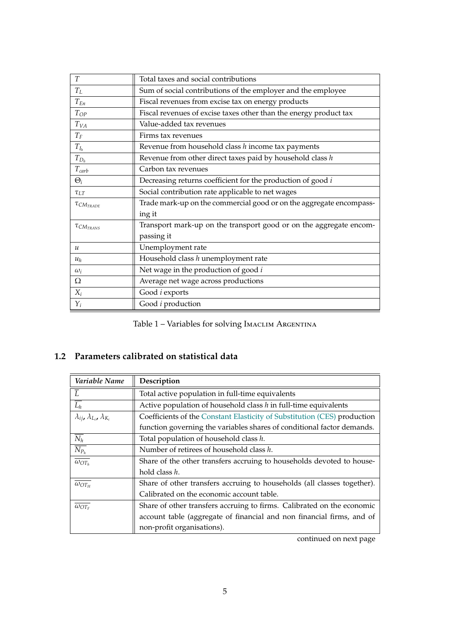| T                                                              | Total taxes and social contributions                                |  |  |
|----------------------------------------------------------------|---------------------------------------------------------------------|--|--|
| $T_L$                                                          | Sum of social contributions of the employer and the employee        |  |  |
| $T_{En}$<br>Fiscal revenues from excise tax on energy products |                                                                     |  |  |
| $T_{OP}$                                                       | Fiscal revenues of excise taxes other than the energy product tax   |  |  |
| $T_{VA}$                                                       | Value-added tax revenues                                            |  |  |
| $T_F$                                                          | Firms tax revenues                                                  |  |  |
| $T_{I_h}$                                                      | Revenue from household class $h$ income tax payments                |  |  |
| $T_{D_h}$                                                      | Revenue from other direct taxes paid by household class $h$         |  |  |
| $T_{carb}$                                                     | Carbon tax revenues                                                 |  |  |
| $\Theta_i$                                                     | Decreasing returns coefficient for the production of good i         |  |  |
| $\tau_{LT}$                                                    | Social contribution rate applicable to net wages                    |  |  |
| $\tau_{CM_{TRADE}}$                                            | Trade mark-up on the commercial good or on the aggregate encompass- |  |  |
|                                                                | ing it                                                              |  |  |
| $\tau_{CM_{TRANS}}$                                            | Transport mark-up on the transport good or on the aggregate encom-  |  |  |
|                                                                | passing it                                                          |  |  |
| $\mathcal{U}$                                                  | Unemployment rate                                                   |  |  |
| $u_h$                                                          | Household class h unemployment rate                                 |  |  |
| $\omega_i$                                                     | Net wage in the production of good $i$                              |  |  |
| Ω                                                              | Average net wage across productions                                 |  |  |
| $X_i$                                                          | Good <i>i</i> exports                                               |  |  |
| $Y_i$                                                          | Good <i>i</i> production                                            |  |  |

|  |  | Table 1 - Variables for solving IMACLIM ARGENTINA |
|--|--|---------------------------------------------------|
|--|--|---------------------------------------------------|

## **1.2 Parameters calibrated on statistical data**

| Variable Name                                                                                       | Description                                                              |  |  |
|-----------------------------------------------------------------------------------------------------|--------------------------------------------------------------------------|--|--|
|                                                                                                     | Total active population in full-time equivalents                         |  |  |
| $\overline{L_h}$                                                                                    | Active population of household class $h$ in full-time equivalents        |  |  |
| $\lambda_{ij}$ , $\lambda_{L_i}$ , $\lambda_{K_i}$                                                  | Coefficients of the Constant Elasticity of Substitution (CES) production |  |  |
|                                                                                                     | function governing the variables shares of conditional factor demands.   |  |  |
| $\overline{N_h}$<br>Total population of household class h.                                          |                                                                          |  |  |
| $\overline{N_{P_h}}$<br>Number of retirees of household class h.                                    |                                                                          |  |  |
| $\overline{\omega_{OT_h}}$<br>Share of the other transfers accruing to households devoted to house- |                                                                          |  |  |
| hold class h.                                                                                       |                                                                          |  |  |
| $\overline{\omega_{OT_H}}$                                                                          | Share of other transfers accruing to households (all classes together).  |  |  |
|                                                                                                     | Calibrated on the economic account table.                                |  |  |
| $\omega_{OT_F}$                                                                                     | Share of other transfers accruing to firms. Calibrated on the economic   |  |  |
|                                                                                                     | account table (aggregate of financial and non financial firms, and of    |  |  |
|                                                                                                     | non-profit organisations).                                               |  |  |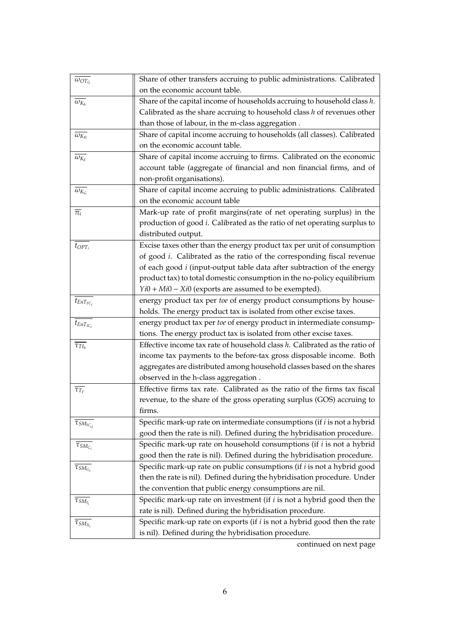| $\overline{\omega_{OT_G}}$       | Share of other transfers accruing to public administrations. Calibrated           |
|----------------------------------|-----------------------------------------------------------------------------------|
|                                  | on the economic account table.                                                    |
| $\overline{\omega_{K_h}}$        | Share of the capital income of households accruing to household class $h$ .       |
|                                  | Calibrated as the share accruing to household class $h$ of revenues other         |
|                                  | than those of labour, in the m-class aggregation.                                 |
| $\omega_{K_H}$                   | Share of capital income accruing to households (all classes). Calibrated          |
|                                  | on the economic account table.                                                    |
| $\overline{\omega_{K_F}}$        | Share of capital income accruing to firms. Calibrated on the economic             |
|                                  | account table (aggregate of financial and non financial firms, and of             |
|                                  | non-profit organisations).                                                        |
| $\overline{\omega_{K_G}}$        | Share of capital income accruing to public administrations. Calibrated            |
|                                  | on the economic account table                                                     |
| $\overline{\pi_i}$               | Mark-up rate of profit margins(rate of net operating surplus) in the              |
|                                  | production of good <i>i</i> . Calibrated as the ratio of net operating surplus to |
|                                  | distributed output.                                                               |
| $t_{OPT_i}$                      | Excise taxes other than the energy product tax per unit of consumption            |
|                                  | of good <i>i</i> . Calibrated as the ratio of the corresponding fiscal revenue    |
|                                  | of each good $i$ (input-output table data after subtraction of the energy         |
|                                  | product tax) to total domestic consumption in the no-policy equilibrium           |
|                                  | $Yi0 + Mi0 - Xi0$ (exports are assumed to be exempted).                           |
| $t_{EnT_{FC_i}}$                 | energy product tax per toe of energy product consumptions by house-               |
|                                  | holds. The energy product tax is isolated from other excise taxes.                |
| $t_{EnT_{IC_i}}$                 | energy product tax per toe of energy product in intermediate consump-             |
|                                  | tions. The energy product tax is isolated from other excise taxes.                |
| $\overline{\tau_{Tl_{h}}}$       | Effective income tax rate of household class $h$ . Calibrated as the ratio of     |
|                                  | income tax payments to the before-tax gross disposable income. Both               |
|                                  | aggregates are distributed among household classes based on the shares            |
|                                  | observed in the h-class aggregation.                                              |
| $\overline{\tau_{T_F}}$          | Effective firms tax rate. Calibrated as the ratio of the firms tax fiscal         |
|                                  | revenue, to the share of the gross operating surplus (GOS) accruing to            |
|                                  | firms.                                                                            |
| $\overline{\tau_{SM_{IC_{ij}}}}$ | Specific mark-up rate on intermediate consumptions (if <i>i</i> is not a hybrid   |
|                                  | good then the rate is nil). Defined during the hybridisation procedure.           |
| $\tau_{SM_{C_i}}$                | Specific mark-up rate on household consumptions (if $i$ is not a hybrid           |
|                                  | good then the rate is nil). Defined during the hybridisation procedure.           |
| $\overline{\tau}_{SM_{G_i}}$     | Specific mark-up rate on public consumptions (if <i>i</i> is not a hybrid good    |
|                                  | then the rate is nil). Defined during the hybridisation procedure. Under          |
|                                  | the convention that public energy consumptions are nil.                           |
| $\overline{\tau_{SM_{I_i}}}$     | Specific mark-up rate on investment (if $i$ is not a hybrid good then the         |
|                                  | rate is nil). Defined during the hybridisation procedure.                         |
| $\overline{\tau}_{SM_{X_i}}$     | Specific mark-up rate on exports (if $i$ is not a hybrid good then the rate       |
|                                  | is nil). Defined during the hybridisation procedure.                              |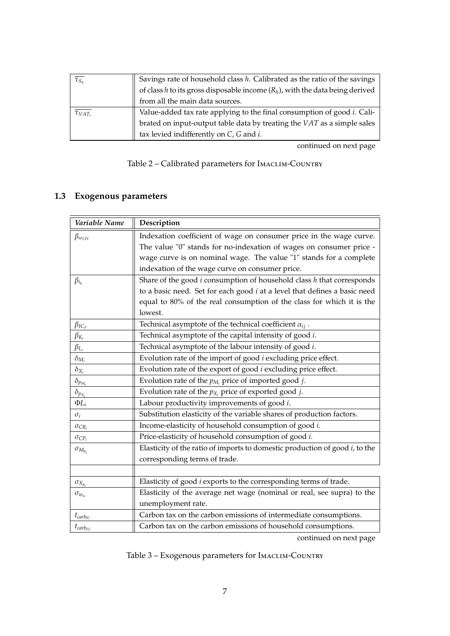| $\overline{\tau_{S_h}}$   | Savings rate of household class $h$ . Calibrated as the ratio of the savings    |  |  |  |  |  |
|---------------------------|---------------------------------------------------------------------------------|--|--|--|--|--|
|                           | of class h to its gross disposable income $(R_h)$ , with the data being derived |  |  |  |  |  |
|                           | from all the main data sources.                                                 |  |  |  |  |  |
| $\overline{\tau_{VAT_i}}$ | Value-added tax rate applying to the final consumption of good <i>i</i> . Cali- |  |  |  |  |  |
|                           | brated on input-output table data by treating the VAT as a simple sales         |  |  |  |  |  |
|                           | tax levied indifferently on $C$ , $G$ and $i$ .                                 |  |  |  |  |  |

continued on next page

|  | Table 2 - Calibrated parameters for IMACLIM-COUNTRY |
|--|-----------------------------------------------------|
|--|-----------------------------------------------------|

# **1.3 Exogenous parameters**

| Variable Name                                                                               | Description                                                                 |  |  |  |
|---------------------------------------------------------------------------------------------|-----------------------------------------------------------------------------|--|--|--|
| $\beta_{\omega_{\text{CPI}}}$                                                               | Indexation coefficient of wage on consumer price in the wage curve.         |  |  |  |
|                                                                                             | The value "0" stands for no-indexation of wages on consumer price -         |  |  |  |
|                                                                                             | wage curve is on nominal wage. The value "1" stands for a complete          |  |  |  |
|                                                                                             | indexation of the wage curve on consumer price.                             |  |  |  |
| $\beta_{i_h}$                                                                               | Share of the good $i$ consumption of household class $h$ that corresponds   |  |  |  |
|                                                                                             | to a basic need. Set for each good $i$ at a level that defines a basic need |  |  |  |
|                                                                                             | equal to 80% of the real consumption of the class for which it is the       |  |  |  |
|                                                                                             | lowest.                                                                     |  |  |  |
| $\beta_{IC_{ji}}$                                                                           | Technical asymptote of the technical coefficient $\alpha_{ij}$ .            |  |  |  |
| $\beta_{K_i}$                                                                               | Technical asymptote of the capital intensity of good i.                     |  |  |  |
| $\beta_{L_i}$                                                                               | Technical asymptote of the labour intensity of good i.                      |  |  |  |
| $\delta_{M_i}$                                                                              | Evolution rate of the import of good <i>i</i> excluding price effect.       |  |  |  |
| $\delta_{X_i}$                                                                              | Evolution rate of the export of good <i>i</i> excluding price effect.       |  |  |  |
| $\delta_{p_{\underline{M_i}}}$                                                              | Evolution rate of the $p_{M_i}$ price of imported good j.                   |  |  |  |
| Evolution rate of the $p_{X_i}$ price of exported good j.<br>$\delta_{\underline{p_{X_i}}}$ |                                                                             |  |  |  |
| $\Phi L_i$                                                                                  | Labour productivity improvements of good i.                                 |  |  |  |
| Substitution elasticity of the variable shares of production factors.<br>$\sigma_i$         |                                                                             |  |  |  |
| $\sigma_{CR_i}$                                                                             | Income-elasticity of household consumption of good i.                       |  |  |  |
| $\sigma_{CP_i}$                                                                             | Price-elasticity of household consumption of good i.                        |  |  |  |
| $\sigma_{M_{p_i}}$                                                                          | Elasticity of the ratio of imports to domestic production of good i, to the |  |  |  |
|                                                                                             | corresponding terms of trade.                                               |  |  |  |
|                                                                                             |                                                                             |  |  |  |
| $\sigma_{X_{p_i}}$                                                                          | Elasticity of good <i>i</i> exports to the corresponding terms of trade.    |  |  |  |
| $\sigma_{w_u}$                                                                              | Elasticity of the average net wage (nominal or real, see supra) to the      |  |  |  |
|                                                                                             | unemployment rate.                                                          |  |  |  |
| $t_{carb_{IC}}$                                                                             | Carbon tax on the carbon emissions of intermediate consumptions.            |  |  |  |
| $t_{carb_{FC}}$                                                                             | Carbon tax on the carbon emissions of household consumptions.               |  |  |  |

|  | Table 3 - Exogenous parameters for IMACLIM-COUNTRY |  |  |  |  |
|--|----------------------------------------------------|--|--|--|--|
|--|----------------------------------------------------|--|--|--|--|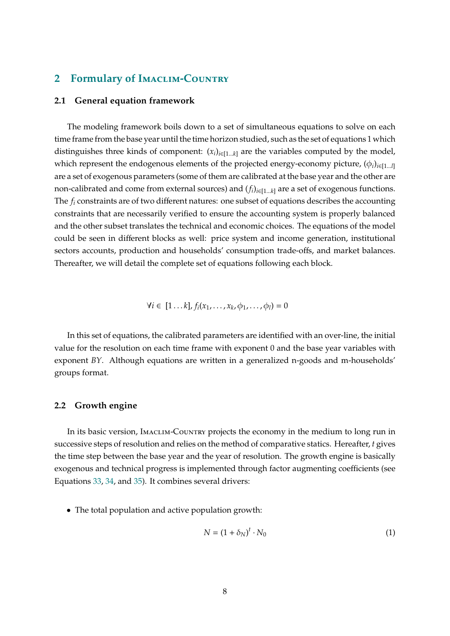## **2 Formulary of I**maclim**-C**ountry

#### **2.1 General equation framework**

The modeling framework boils down to a set of simultaneous equations to solve on each time frame from the base year until the time horizon studied, such as the set of equations 1 which distinguishes three kinds of component:  $(x_i)_{i \in [1...k]}$  are the variables computed by the model, which represent the endogenous elements of the projected energy-economy picture,  $(\phi_i)_{i \in \{1...l\}}$ are a set of exogenous parameters (some of them are calibrated at the base year and the other are non-calibrated and come from external sources) and  $(f_i)_{i \in [1...k]}$  are a set of exogenous functions. The  $f_i$  constraints are of two different natures: one subset of equations describes the accounting constraints that are necessarily verified to ensure the accounting system is properly balanced and the other subset translates the technical and economic choices. The equations of the model could be seen in different blocks as well: price system and income generation, institutional sectors accounts, production and households' consumption trade-offs, and market balances. Thereafter, we will detail the complete set of equations following each block.

$$
\forall i \in [1...k], f_i(x_1,...,x_k,\phi_1,...,\phi_l) = 0
$$

In this set of equations, the calibrated parameters are identified with an over-line, the initial value for the resolution on each time frame with exponent 0 and the base year variables with exponent *BY*. Although equations are written in a generalized n-goods and m-households' groups format.

#### **2.2 Growth engine**

In its basic version, Imaclim-Country projects the economy in the medium to long run in successive steps of resolution and relies on the method of comparative statics. Hereafter, *t* gives the time step between the base year and the year of resolution. The growth engine is basically exogenous and technical progress is implemented through factor augmenting coefficients (see Equations 33, 34, and 35). It combines several drivers:

• The total population and active population growth:

$$
N = (1 + \delta_N)^t \cdot N_0 \tag{1}
$$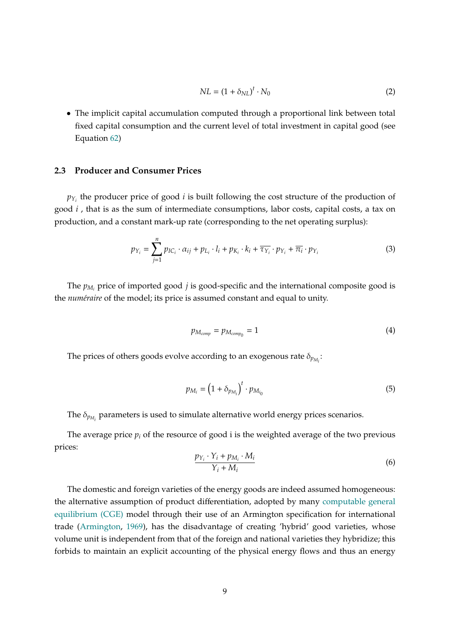$$
NL = (1 + \delta_{NL})^t \cdot N_0 \tag{2}
$$

• The implicit capital accumulation computed through a proportional link between total fixed capital consumption and the current level of total investment in capital good (see Equation 62)

#### **2.3 Producer and Consumer Prices**

 $p_{Y_i}$  the producer price of good *i* is built following the cost structure of the production of good *i* , that is as the sum of intermediate consumptions, labor costs, capital costs, a tax on production, and a constant mark-up rate (corresponding to the net operating surplus):

$$
p_{Y_i} = \sum_{j=1}^n p_{IC_i} \cdot \alpha_{ij} + p_{L_i} \cdot l_i + p_{K_i} \cdot k_i + \overline{\tau_{Y_i}} \cdot p_{Y_i} + \overline{\pi_i} \cdot p_{Y_i}
$$
(3)

The  $p_{M_i}$  price of imported good *j* is good-specific and the international composite good is the *numéraire* of the model; its price is assumed constant and equal to unity.

$$
p_{M_{comp}} = p_{M_{comp_0}} = 1 \tag{4}
$$

The prices of others goods evolve according to an exogenous rate  $\delta_{p_{M_i}}$ :

$$
p_{M_i} = \left(1 + \delta_{p_{M_i}}\right)^t \cdot p_{M_{i_0}}
$$
\n<sup>(5)</sup>

The  $\delta_{p_{M_i}}$  parameters is used to simulate alternative world energy prices scenarios.

The average price  $p_i$  of the resource of good i is the weighted average of the two previous prices:

$$
\frac{p_{Y_i} \cdot Y_i + p_{M_i} \cdot M_i}{Y_i + M_i} \tag{6}
$$

The domestic and foreign varieties of the energy goods are indeed assumed homogeneous: the alternative assumption of product differentiation, adopted by many computable general equilibrium (CGE) model through their use of an Armington specification for international trade (Armington, 1969), has the disadvantage of creating 'hybrid' good varieties, whose volume unit is independent from that of the foreign and national varieties they hybridize; this forbids to maintain an explicit accounting of the physical energy flows and thus an energy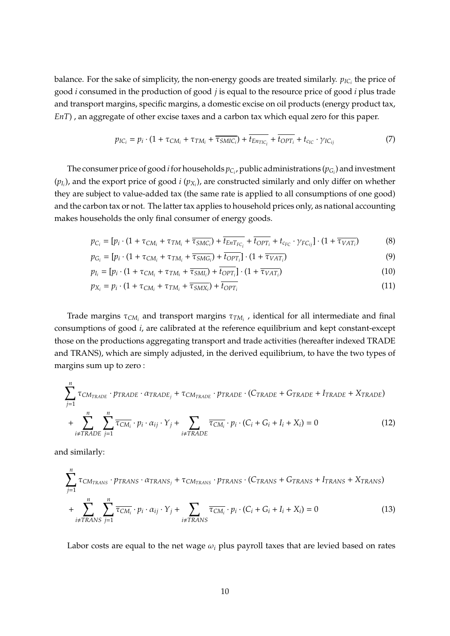balance. For the sake of simplicity, the non-energy goods are treated similarly.  $p_{IC_i}$  the price of good *i* consumed in the production of good *j* is equal to the resource price of good *i* plus trade and transport margins, specific margins, a domestic excise on oil products (energy product tax, *EnT*) , an aggregate of other excise taxes and a carbon tax which equal zero for this paper.

$$
p_{IC_i} = p_i \cdot (1 + \tau_{CM_i} + \tau_{TM_i} + \overline{\tau_{SMIC_i}}) + \overline{t_{En_{TC_i}}} + \overline{t_{OPT_i}} + t_{c_{IC}} \cdot \gamma_{IC_{ij}}
$$
(7)

The consumer price of good *i* for households  $p_{C_i}$ , public administrations ( $p_{G_i}$ ) and investment  $(p_{I_i})$ , and the export price of good *i*  $(p_{X_i})$ , are constructed similarly and only differ on whether they are subject to value-added tax (the same rate is applied to all consumptions of one good) and the carbon tax or not. The latter tax applies to household prices only, as national accounting makes households the only final consumer of energy goods.

$$
p_{C_i} = [p_i \cdot (1 + \tau_{CM_i} + \tau_{TM_i} + \overline{\tau_{SMC_i}}) + \overline{t_{EnT_{FC_i}}} + \overline{t_{OPT_i}} + t_{c_{FC}} \cdot \gamma_{FC_{ij}}] \cdot (1 + \overline{\tau_{VAT_i}})
$$
(8)

$$
p_{G_i} = [p_i \cdot (1 + \tau_{CM_i} + \tau_{TM_i} + \overline{\tau_{SMG_i}}) + \overline{t_{OPT_i}}] \cdot (1 + \overline{\tau_{VAT_i}})
$$
(9)

$$
p_{I_i} = [p_i \cdot (1 + \tau_{CM_i} + \tau_{TM_i} + \overline{\tau_{SMI_i}}) + \overline{t_{OPT_i}}] \cdot (1 + \overline{\tau_{VAT_i}})
$$
(10)

$$
p_{X_i} = p_i \cdot (1 + \tau_{CM_i} + \tau_{TM_i} + \overline{\tau_{SMX_i}}) + t_{OPT_i}
$$
\n(11)

Trade margins  $\tau_{CM_i}$  and transport margins  $\tau_{TM_i}$ , identical for all intermediate and final consumptions of good *i*, are calibrated at the reference equilibrium and kept constant-except those on the productions aggregating transport and trade activities (hereafter indexed TRADE and TRANS), which are simply adjusted, in the derived equilibrium, to have the two types of margins sum up to zero :

$$
\sum_{j=1}^{n} \tau_{CM_{TRADE}} \cdot p_{TRADE} \cdot \alpha_{TRADE_j} + \tau_{CM_{TRADE}} \cdot p_{TRADE} \cdot (C_{TRADE} + G_{TRADE} + I_{TRADE} + X_{TRADE})
$$
  
+ 
$$
\sum_{i \neq TRADE}^{n} \sum_{j=1}^{n} \overline{\tau_{CM_i}} \cdot p_i \cdot \alpha_{ij} \cdot Y_j + \sum_{i \neq TRADE} \overline{\tau_{CM_i}} \cdot p_i \cdot (C_i + G_i + I_i + X_i) = 0
$$
(12)

and similarly:

X*n*

$$
\sum_{j=1}^{n} \tau_{CM_{TRANS}} \cdot p_{TRANS} \cdot \alpha_{TRANS_j} + \tau_{CM_{TRANS}} \cdot p_{TRANS} \cdot (C_{TRANS} + G_{TRANS} + I_{TRANS} + X_{TRANS})
$$
  
+ 
$$
\sum_{i \neq TRANS}^{n} \sum_{j=1}^{n} \overline{\tau_{CM_i}} \cdot p_i \cdot \alpha_{ij} \cdot Y_j + \sum_{i \neq TRANS} \overline{\tau_{CM_i}} \cdot p_i \cdot (C_i + G_i + I_i + X_i) = 0
$$
(13)

Labor costs are equal to the net wage  $\omega_i$  plus payroll taxes that are levied based on rates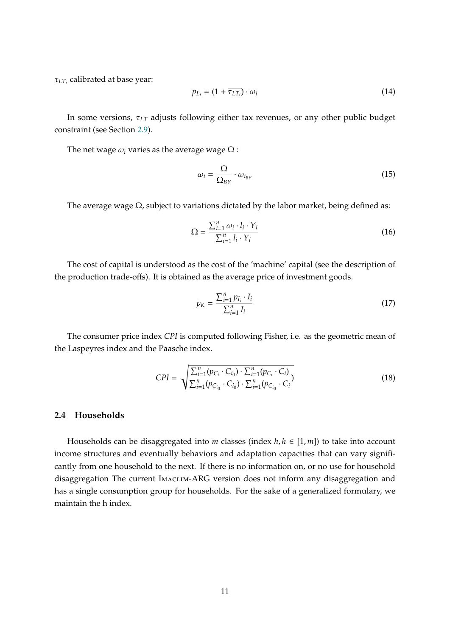$\tau_{LT}$  calibrated at base year:

$$
p_{L_i} = (1 + \overline{\tau_{LT_i}}) \cdot \omega_i \tag{14}
$$

In some versions,  $\tau_{LT}$  adjusts following either tax revenues, or any other public budget constraint (see Section 2.9).

The net wage  $\omega_i$  varies as the average wage  $\Omega$  :

$$
\omega_i = \frac{\Omega}{\Omega_{BY}} \cdot \omega_{i_{BY}}
$$
 (15)

The average wage  $\Omega$ , subject to variations dictated by the labor market, being defined as:

$$
\Omega = \frac{\sum_{i=1}^{n} \omega_i \cdot l_i \cdot Y_i}{\sum_{i=1}^{n} l_i \cdot Y_i}
$$
\n(16)

The cost of capital is understood as the cost of the 'machine' capital (see the description of the production trade-offs). It is obtained as the average price of investment goods.

$$
p_K = \frac{\sum_{i=1}^n p_{I_i} \cdot I_i}{\sum_{i=1}^n I_i}
$$
 (17)

The consumer price index *CPI* is computed following Fisher, i.e. as the geometric mean of the Laspeyres index and the Paasche index.

$$
CPI = \sqrt{\frac{\sum_{i=1}^{n} (p_{C_i} \cdot C_{i_0}) \cdot \sum_{i=1}^{n} (p_{C_i} \cdot C_i)}{\sum_{i=1}^{n} (p_{C_{i_0}} \cdot C_{i_0}) \cdot \sum_{i=1}^{n} (p_{C_{i_0}} \cdot C_i)} }
$$
(18)

#### **2.4 Households**

Households can be disaggregated into *m* classes (index  $h, h \in [1, m]$ ) to take into account income structures and eventually behaviors and adaptation capacities that can vary significantly from one household to the next. If there is no information on, or no use for household disaggregation The current Imaclim-ARG version does not inform any disaggregation and has a single consumption group for households. For the sake of a generalized formulary, we maintain the h index.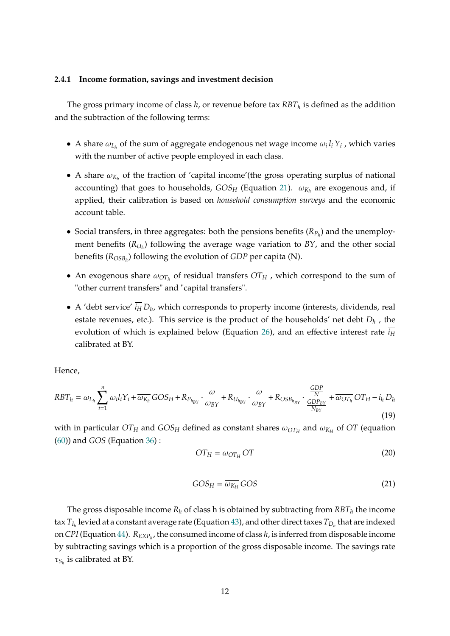#### **2.4.1 Income formation, savings and investment decision**

The gross primary income of class  $h$ , or revenue before tax  $RBT_h$  is defined as the addition and the subtraction of the following terms:

- A share  $\omega_{L_h}$  of the sum of aggregate endogenous net wage income  $\omega_i l_i Y_i$ , which varies with the number of active people employed in each class.
- A share  $\omega_{K_h}$  of the fraction of 'capital income'(the gross operating surplus of national accounting) that goes to households,  $GOS_H$  (Equation 21).  $\omega_{K_h}$  are exogenous and, if applied, their calibration is based on *household consumption surveys* and the economic account table.
- Social transfers, in three aggregates: both the pensions benefits  $(R_{P_h})$  and the unemployment benefits  $(R_{U_h})$  following the average wage variation to  $BY$ , and the other social benefits ( $R_{OSB_h}$ ) following the evolution of *GDP* per capita (N).
- An exogenous share  $\omega_{OT_h}$  of residual transfers  $OT_H$ , which correspond to the sum of "other current transfers" and "capital transfers".
- A 'debt service'  $\overline{i_H} D_h$ , which corresponds to property income (interests, dividends, real estate revenues, etc.). This service is the product of the households' net debt *Dh* , the evolution of which is explained below (Equation 26), and an effective interest rate  $i_H$ calibrated at BY.

Hence,

$$
RBT_h = \omega_{L_h} \sum_{i=1}^n \omega_i l_i Y_i + \overline{\omega_{K_h}} GOS_H + R_{P_{h_{BY}}} \cdot \frac{\omega}{\omega_{BY}} + R_{U_{h_{BY}}} \cdot \frac{\omega}{\omega_{BY}} + R_{OSB_{h_{BY}}} \cdot \frac{\frac{GDP}{N}}{\frac{GDP_{BY}}{N_{BY}}} + \overline{\omega_{OT_h}} OT_H - i_h D_h
$$
\n(19)

with in particular  $OT_H$  and  $GOS_H$  defined as constant shares  $\omega_{OT_H}$  and  $\omega_{K_H}$  of  $OT$  (equation (60)) and *GOS* (Equation 36) :

$$
OT_H = \overline{\omega_{OT_H}} OT
$$
 (20)

$$
GOS_H = \overline{\omega_{K_H}} GOS
$$
 (21)

The gross disposable income  $R_h$  of class h is obtained by subtracting from  $RBT_h$  the income tax  $T_{I_h}$  levied at a constant average rate (Equation 43), and other direct taxes  $T_{D_h}$  that are indexed on *CPI* (Equation 44).  $R_{EXP<sub>h</sub>}$ , the consumed income of class *h*, is inferred from disposable income by subtracting savings which is a proportion of the gross disposable income. The savings rate  $\tau_{S_h}$  is calibrated at BY.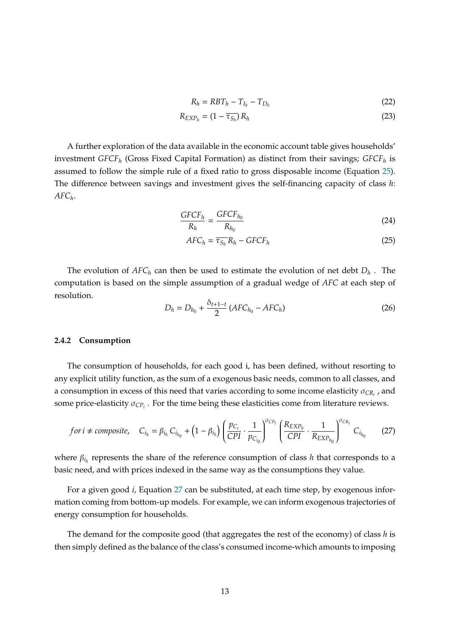$$
R_h = RBT_h - T_{I_h} - T_{D_h}
$$
\n
$$
(22)
$$

$$
R_{EXP_h} = (1 - \overline{\tau_{S_h}}) R_h \tag{23}
$$

A further exploration of the data available in the economic account table gives households' investment *GFCFh* (Gross Fixed Capital Formation) as distinct from their savings; *GFCFh* is assumed to follow the simple rule of a fixed ratio to gross disposable income (Equation 25). The difference between savings and investment gives the self-financing capacity of class *h*: *AFCh*.

$$
\frac{GFCF_h}{R_h} = \frac{GFCF_{h_0}}{R_{h_0}}
$$
\n(24)

$$
AFC_h = \overline{\tau_{S_h}} R_h - GFCF_h \tag{25}
$$

The evolution of  $AFC_h$  can then be used to estimate the evolution of net debt  $D_h$ . The computation is based on the simple assumption of a gradual wedge of *AFC* at each step of resolution.

$$
D_h = D_{h_0} + \frac{\delta_{t+1-t}}{2} (AFC_{h_0} - AFC_h)
$$
 (26)

#### **2.4.2 Consumption**

The consumption of households, for each good i, has been defined, without resorting to any explicit utility function, as the sum of a exogenous basic needs, common to all classes, and a consumption in excess of this need that varies according to some income elasticity  $\sigma_{CR_i}$ , and some price-elasticity  $\sigma_{CP_i}$ . For the time being these elasticities come from literature reviews.

$$
for i \neq composite, \quad C_{i_h} = \beta_{i_h} C_{i_{h_0}} + (1 - \beta_{i_h}) \left( \frac{p_{C_i}}{CPI} \cdot \frac{1}{p_{C_{i_0}}} \right)^{\sigma_{CP_i}} \left( \frac{R_{EXP_h}}{CPI} \cdot \frac{1}{R_{EXP_{h_0}}} \right)^{\sigma_{CR_i}} C_{i_{h_0}}
$$
(27)

where  $\beta_{i_h}$  represents the share of the reference consumption of class *h* that corresponds to a basic need, and with prices indexed in the same way as the consumptions they value.

For a given good *i*, Equation 27 can be substituted, at each time step, by exogenous information coming from bottom-up models. For example, we can inform exogenous trajectories of energy consumption for households.

The demand for the composite good (that aggregates the rest of the economy) of class *h* is then simply defined as the balance of the class's consumed income-which amounts to imposing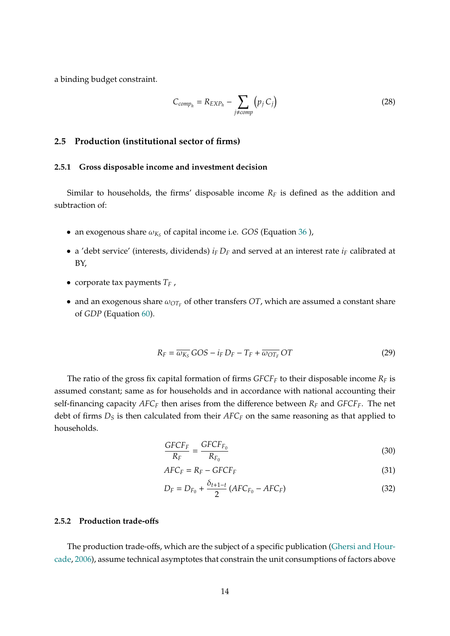a binding budget constraint.

$$
C_{comp_h} = R_{EXP_h} - \sum_{j \ne comp} (p_j C_j)
$$
 (28)

#### **2.5 Production (institutional sector of firms)**

#### **2.5.1 Gross disposable income and investment decision**

Similar to households, the firms' disposable income  $R_F$  is defined as the addition and subtraction of:

- an exogenous share  $\omega_{K_S}$  of capital income i.e. *GOS* (Equation 36 ),
- a 'debt service' (interests, dividends)  $i_F D_F$  and served at an interest rate  $i_F$  calibrated at BY,
- corporate tax payments *TF* ,
- and an exogenous share  $\omega_{OT_F}$  of other transfers *OT*, which are assumed a constant share of *GDP* (Equation 60).

$$
R_F = \overline{\omega_{K_S}} GOS - i_F D_F - T_F + \overline{\omega_{OT_F}} OT
$$
\n(29)

The ratio of the gross fix capital formation of firms  $GFCF<sub>F</sub>$  to their disposable income  $R<sub>F</sub>$  is assumed constant; same as for households and in accordance with national accounting their self-financing capacity  $AFC_F$  then arises from the difference between  $R_F$  and  $GFCF_F$ . The net debt of firms  $D_S$  is then calculated from their  $AFC_F$  on the same reasoning as that applied to households.

$$
\frac{GFCF_F}{R_F} = \frac{GFCF_{F_0}}{R_{F_0}}
$$
\n(30)

$$
AFC_F = R_F - GFCF_F \tag{31}
$$

$$
D_F = D_{F_0} + \frac{\delta_{t+1-t}}{2} (AFC_{F_0} - AFC_F)
$$
 (32)

#### **2.5.2 Production trade-offs**

The production trade-offs, which are the subject of a specific publication (Ghersi and Hourcade, 2006), assume technical asymptotes that constrain the unit consumptions of factors above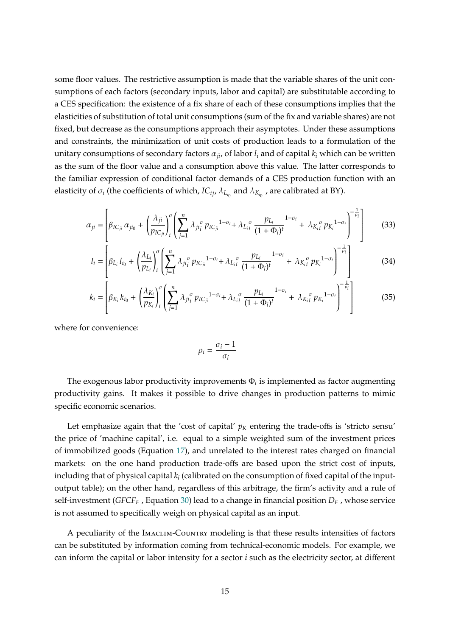some floor values. The restrictive assumption is made that the variable shares of the unit consumptions of each factors (secondary inputs, labor and capital) are substitutable according to a CES specification: the existence of a fix share of each of these consumptions implies that the elasticities of substitution of total unit consumptions (sum of the fix and variable shares) are not fixed, but decrease as the consumptions approach their asymptotes. Under these assumptions and constraints, the minimization of unit costs of production leads to a formulation of the unitary consumptions of secondary factors  $\alpha_{ii}$ , of labor  $l_i$  and of capital  $k_i$  which can be written as the sum of the floor value and a consumption above this value. The latter corresponds to the familiar expression of conditional factor demands of a CES production function with an elasticity of  $\sigma_i$  (the coefficients of which, *IC<sub>ij</sub>*,  $\lambda_{L_{i_0}}$  and  $\lambda_{K_{i_0}}$  , are calibrated at BY).

$$
\alpha_{ji} = \left[ \beta_{IC_{ji}} \alpha_{ji_0} + \left( \frac{\lambda_{ji}}{p_{IC_{ji}}} \right) \left( \sum_{j=1}^n \lambda_{ji_j} \sigma_{p_{IC_{ji}}}^{1-\sigma_i} + \lambda_{L_{ii}} \frac{p_{L_i}}{(1+\Phi_i)^t} \right)^{1-\sigma_i} + \lambda_{K_{ii}} \sigma_{p_{K_i}}^{1-\sigma_i} \right)^{-\frac{1}{\rho_i}} \right]
$$
(33)

$$
l_{i} = \left[ \beta_{L_{i}} l_{i_{0}} + \left( \frac{\lambda_{L_{i}}}{p_{L_{i}}} \right)_{i}^{\sigma} \left( \sum_{j=1}^{n} \lambda_{ji}^{\sigma} p_{IC_{ji}}^{1-\sigma_{i}} + \lambda_{L_{i}i}^{\sigma} \frac{p_{L_{i}}}{(1+\Phi_{i})^{t}}^{1-\sigma_{i}} + \lambda_{K_{i}i}^{\sigma} p_{K_{i}}^{1-\sigma_{i}} \right)^{-\frac{1}{\rho_{i}}} \right]
$$
(34)

$$
k_{i} = \left[ \beta_{K_{i}} k_{i_{0}} + \left( \frac{\lambda_{K_{i}}}{p_{K_{i}}} \right)_{i}^{\sigma} \left( \sum_{j=1}^{n} \lambda_{ji_{i}^{\sigma}} p_{IC_{ji}}^{1-\sigma_{i}} + \lambda_{L_{i}^{0}} \frac{p_{L_{i}}}{(1+\Phi_{i})^{t}}^{1-\sigma_{i}} + \lambda_{K_{i}^{0}} p_{K_{i}}^{1-\sigma_{i}} \right)^{-\frac{1}{\rho_{i}}} \right]
$$
(35)

where for convenience:

$$
\rho_i = \frac{\sigma_i - 1}{\sigma_i}
$$

The exogenous labor productivity improvements  $\Phi_i$  is implemented as factor augmenting productivity gains. It makes it possible to drive changes in production patterns to mimic specific economic scenarios.

Let emphasize again that the 'cost of capital'  $p<sub>K</sub>$  entering the trade-offs is 'stricto sensu' the price of 'machine capital', i.e. equal to a simple weighted sum of the investment prices of immobilized goods (Equation 17), and unrelated to the interest rates charged on financial markets: on the one hand production trade-offs are based upon the strict cost of inputs, including that of physical capital *ki* (calibrated on the consumption of fixed capital of the inputoutput table); on the other hand, regardless of this arbitrage, the firm's activity and a rule of self-investment (*GFCF<sub>F</sub>* , Equation 30) lead to a change in financial position  $D<sub>F</sub>$ , whose service is not assumed to specifically weigh on physical capital as an input.

A peculiarity of the Imaclim-Country modeling is that these results intensities of factors can be substituted by information coming from technical-economic models. For example, we can inform the capital or labor intensity for a sector *i* such as the electricity sector, at different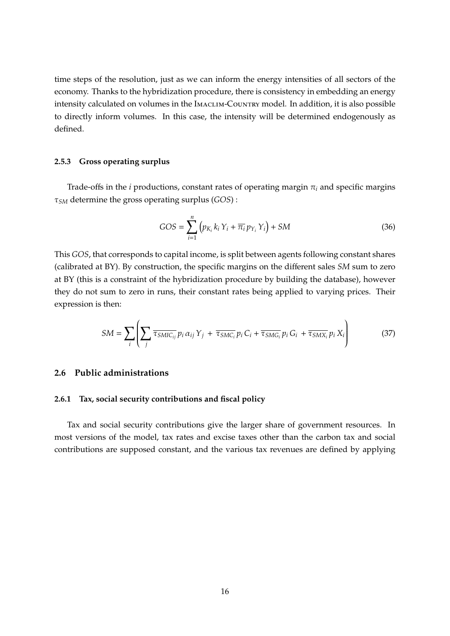time steps of the resolution, just as we can inform the energy intensities of all sectors of the economy. Thanks to the hybridization procedure, there is consistency in embedding an energy intensity calculated on volumes in the IMACLIM-COUNTRY model. In addition, it is also possible to directly inform volumes. In this case, the intensity will be determined endogenously as defined.

#### **2.5.3 Gross operating surplus**

Trade-offs in the *i* productions, constant rates of operating margin  $\pi$ <sub>*i*</sub> and specific margins ⌧*SM* determine the gross operating surplus (*GOS*) :

$$
GOS = \sum_{i=1}^{n} \left( p_{K_i} k_i Y_i + \overline{\pi_i} p_{Y_i} Y_i \right) + SM \tag{36}
$$

This *GOS*, that corresponds to capital income, is split between agents following constant shares (calibrated at BY). By construction, the specific margins on the different sales *SM* sum to zero at BY (this is a constraint of the hybridization procedure by building the database), however they do not sum to zero in runs, their constant rates being applied to varying prices. Their expression is then:

$$
SM = \sum_{i} \left( \sum_{j} \overline{\tau_{SMIC_{ij}}} p_i \alpha_{ij} Y_j + \overline{\tau_{SMC_i}} p_i C_i + \overline{\tau_{SMG_i}} p_i G_i + \overline{\tau_{SMX_i}} p_i X_i \right)
$$
(37)

#### **2.6 Public administrations**

#### **2.6.1 Tax, social security contributions and fiscal policy**

Tax and social security contributions give the larger share of government resources. In most versions of the model, tax rates and excise taxes other than the carbon tax and social contributions are supposed constant, and the various tax revenues are defined by applying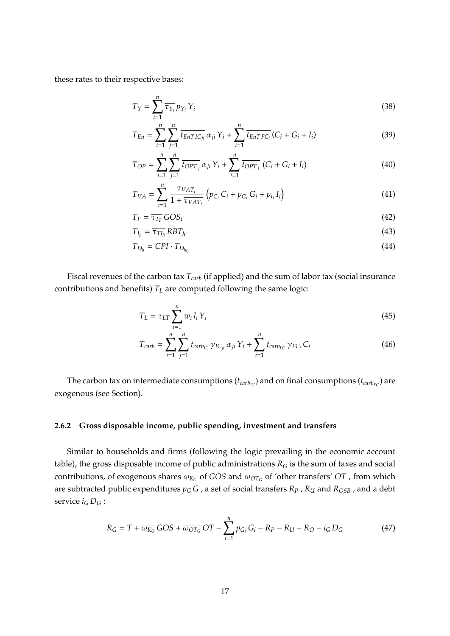these rates to their respective bases:

$$
T_Y = \sum_{i=1}^n \overline{\tau_{Y_i}} p_{Y_i} Y_i
$$
\n(38)

$$
T_{En} = \sum_{i=1}^{n} \sum_{j=1}^{n} \overline{t_{EnTIC_{ji}}} \alpha_{ji} Y_i + \sum_{i=1}^{n} \overline{t_{EnTFC_i}} (C_i + G_i + I_i)
$$
(39)

$$
T_{OP} = \sum_{i=1}^{n} \sum_{j=1}^{n} \overline{t_{OPT}}_{j} \alpha_{ji} Y_{i} + \sum_{i=1}^{n} \overline{t_{OPT}}_{i} (C_{i} + G_{i} + I_{i})
$$
(40)

$$
T_{VA} = \sum_{i=1}^{n} \frac{\overline{\tau_{VAT_i}}}{1 + \overline{\tau_{VAT_i}}} \left( p_{C_i} C_i + p_{G_i} G_i + p_{I_i} I_i \right)
$$
(41)

$$
T_F = \overline{\tau_{T_F}} GOS_F \tag{42}
$$

$$
T_{I_h} = \overline{\tau_{TI_h}} RBT_h \tag{43}
$$

$$
T_{D_h} = CPI \cdot T_{D_{h_0}} \tag{44}
$$

Fiscal revenues of the carbon tax  $T_{\text{carb}}$  (if applied) and the sum of labor tax (social insurance contributions and benefits)  $T_L$  are computed following the same logic:

$$
T_L = \tau_{LT} \sum_{i=1}^{n} w_i l_i Y_i \tag{45}
$$

$$
T_{carb} = \sum_{i=1}^{n} \sum_{j=1}^{n} t_{carb_{IC}} \gamma_{IC_{ji}} \alpha_{ji} Y_i + \sum_{i=1}^{n} t_{carb_{FC}} \gamma_{FC_i} C_i
$$
 (46)

The carbon tax on intermediate consumptions ( $t_{carb_{IC}}$ ) and on final consumptions ( $t_{carb_{FC}}$ ) are exogenous (see Section).

#### **2.6.2 Gross disposable income, public spending, investment and transfers**

Similar to households and firms (following the logic prevailing in the economic account table), the gross disposable income of public administrations  $R_G$  is the sum of taxes and social contributions, of exogenous shares  $\omega_{K_G}$  of *GOS* and  $\omega_{OT_G}$  of 'other transfers' *OT* , from which are subtracted public expenditures  $p_G G$ , a set of social transfers  $R_P$ ,  $R_U$  and  $R_{OSB}$ , and a debt service  $i_G D_G$ :

$$
R_G = T + \overline{\omega_{K_G}} GOS + \overline{\omega_{OT_G}} OT - \sum_{i=1}^{n} p_{G_i} G_i - R_P - R_U - R_O - i_G D_G \tag{47}
$$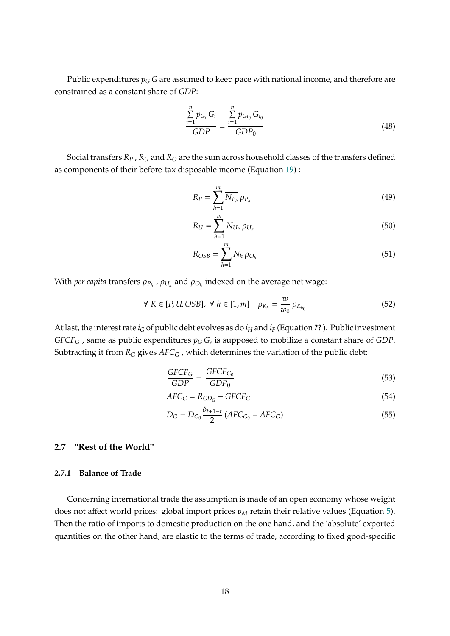Public expenditures  $p_G$  *G* are assumed to keep pace with national income, and therefore are constrained as a constant share of *GDP*:

$$
\frac{\sum_{i=1}^{n} p_{G_i} G_i}{GDP} = \frac{\sum_{i=1}^{n} p_{Gi_0} G_{i_0}}{GDP_0}
$$
\n(48)

Social transfers  $R_P$ ,  $R_U$  and  $R_O$  are the sum across household classes of the transfers defined as components of their before-tax disposable income (Equation 19) :

$$
R_P = \sum_{h=1}^{m} \overline{N_{P_h}} \rho_{P_h}
$$
\n(49)

$$
R_U = \sum_{h=1}^{m} N_{U_h} \rho_{U_h}
$$
 (50)

$$
R_{OSB} = \sum_{h=1}^{m} \overline{N_h} \rho_{O_h}
$$
 (51)

With *per capita* transfers  $\rho_{P_h}$ ,  $\rho_{U_h}$  and  $\rho_{O_h}$  indexed on the average net wage:

$$
\forall K \in [P, U, OSB], \ \forall h \in [1, m] \quad \rho_{K_h} = \frac{w}{w_0} \, \rho_{K_{h_0}} \tag{52}
$$

At last, the interest rate  $i_G$  of public debt evolves as do  $i_H$  and  $i_F$  (Equation ??). Public investment *GFCF<sub>G</sub>* , same as public expenditures  $p_G G$ , is supposed to mobilize a constant share of *GDP*. Subtracting it from  $R_G$  gives  $AFC_G$ , which determines the variation of the public debt:

$$
\frac{GFCF_G}{GDP} = \frac{GFCF_{G_0}}{GDP_0} \tag{53}
$$

$$
AFC_G = R_{GD_G} - GFCF_G \tag{54}
$$

$$
D_G = D_{G_0} \frac{\delta_{t+1-t}}{2} \left( AFC_{G_0} - AFC_G \right) \tag{55}
$$

#### **2.7 "Rest of the World"**

#### **2.7.1 Balance of Trade**

Concerning international trade the assumption is made of an open economy whose weight does not affect world prices: global import prices  $p<sub>M</sub>$  retain their relative values (Equation 5). Then the ratio of imports to domestic production on the one hand, and the 'absolute' exported quantities on the other hand, are elastic to the terms of trade, according to fixed good-specific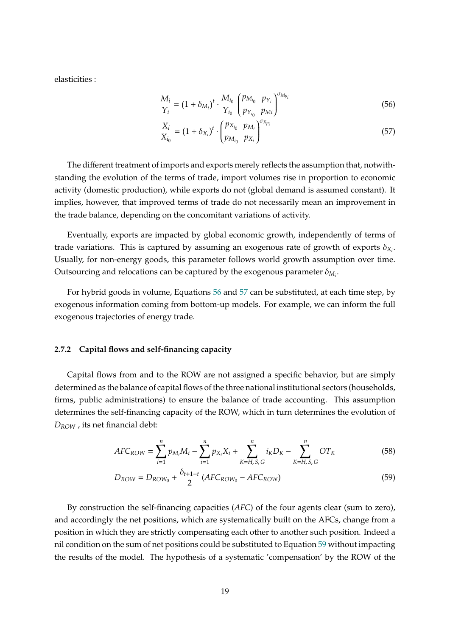elasticities :

$$
\frac{M_i}{Y_i} = (1 + \delta_{M_i})^t \cdot \frac{M_{i_0}}{Y_{i_0}} \left(\frac{p_{M_{i_0}}}{p_{Y_{i_0}}} \frac{p_{Y_i}}{p_{Mi}}\right)^{\sigma_{M_{p_i}}}
$$
(56)

$$
\frac{X_i}{X_{i_0}} = (1 + \delta_{X_i})^t \cdot \left(\frac{p_{X_{i_0}}}{p_{M_{i_0}}} \frac{p_{M_i}}{p_{X_i}}\right)^{\sigma_{X_{p_i}}}
$$
(57)

The different treatment of imports and exports merely reflects the assumption that, notwithstanding the evolution of the terms of trade, import volumes rise in proportion to economic activity (domestic production), while exports do not (global demand is assumed constant). It implies, however, that improved terms of trade do not necessarily mean an improvement in the trade balance, depending on the concomitant variations of activity.

Eventually, exports are impacted by global economic growth, independently of terms of trade variations. This is captured by assuming an exogenous rate of growth of exports  $\delta_{X_i}$ . Usually, for non-energy goods, this parameter follows world growth assumption over time. Outsourcing and relocations can be captured by the exogenous parameter  $\delta_{M_i}$ .

For hybrid goods in volume, Equations 56 and 57 can be substituted, at each time step, by exogenous information coming from bottom-up models. For example, we can inform the full exogenous trajectories of energy trade.

#### **2.7.2 Capital flows and self-financing capacity**

Capital flows from and to the ROW are not assigned a specific behavior, but are simply determined as the balance of capital flows of the three national institutional sectors (households, firms, public administrations) to ensure the balance of trade accounting. This assumption determines the self-financing capacity of the ROW, which in turn determines the evolution of *DROW* , its net financial debt:

$$
AFC_{ROW} = \sum_{i=1}^{n} p_{M_i}M_i - \sum_{i=1}^{n} p_{X_i}X_i + \sum_{K=H, S, G}^{n} i_KD_K - \sum_{K=H, S, G}^{n} OT_K
$$
(58)

$$
D_{ROW} = D_{ROW_0} + \frac{\delta_{t+1-t}}{2} \left( AFC_{ROW_0} - AFC_{ROW} \right) \tag{59}
$$

By construction the self-financing capacities (*AFC*) of the four agents clear (sum to zero), and accordingly the net positions, which are systematically built on the AFCs, change from a position in which they are strictly compensating each other to another such position. Indeed a nil condition on the sum of net positions could be substituted to Equation 59 without impacting the results of the model. The hypothesis of a systematic 'compensation' by the ROW of the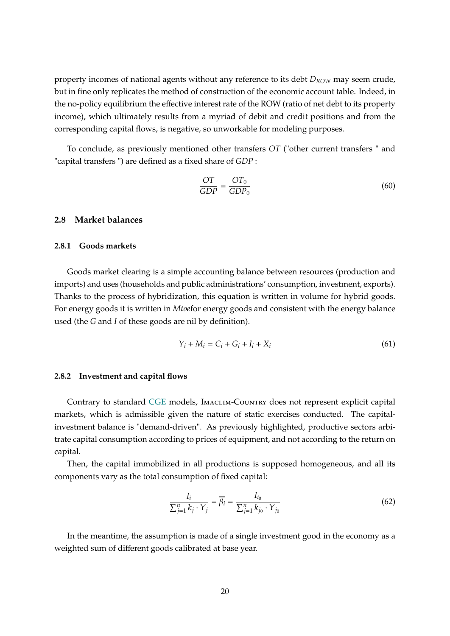property incomes of national agents without any reference to its debt *DROW* may seem crude, but in fine only replicates the method of construction of the economic account table. Indeed, in the no-policy equilibrium the effective interest rate of the ROW (ratio of net debt to its property income), which ultimately results from a myriad of debit and credit positions and from the corresponding capital flows, is negative, so unworkable for modeling purposes.

To conclude, as previously mentioned other transfers *OT* ("other current transfers " and "capital transfers ") are defined as a fixed share of *GDP* :

$$
\frac{OT}{GDP} = \frac{OT_0}{GDP_0} \tag{60}
$$

### **2.8 Market balances**

#### **2.8.1 Goods markets**

Goods market clearing is a simple accounting balance between resources (production and imports) and uses (households and public administrations' consumption, investment, exports). Thanks to the process of hybridization, this equation is written in volume for hybrid goods. For energy goods it is written in *Mtoe*for energy goods and consistent with the energy balance used (the *G* and *I* of these goods are nil by definition).

$$
Y_i + M_i = C_i + G_i + I_i + X_i \tag{61}
$$

#### **2.8.2 Investment and capital flows**

Contrary to standard CGE models, Imaclim-Country does not represent explicit capital markets, which is admissible given the nature of static exercises conducted. The capitalinvestment balance is "demand-driven". As previously highlighted, productive sectors arbitrate capital consumption according to prices of equipment, and not according to the return on capital.

Then, the capital immobilized in all productions is supposed homogeneous, and all its components vary as the total consumption of fixed capital:

$$
\frac{I_i}{\sum_{j=1}^n k_j \cdot Y_j} = \overline{\beta_i} = \frac{I_{i_0}}{\sum_{j=1}^n k_{j_0} \cdot Y_{j_0}}
$$
(62)

In the meantime, the assumption is made of a single investment good in the economy as a weighted sum of different goods calibrated at base year.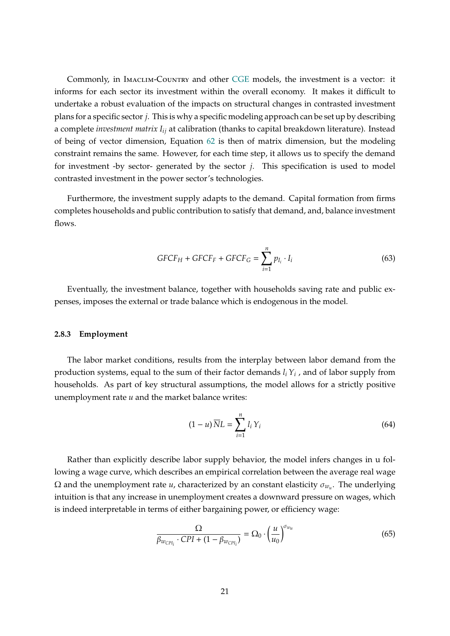Commonly, in IMACLIM-COUNTRY and other CGE models, the investment is a vector: it informs for each sector its investment within the overall economy. It makes it difficult to undertake a robust evaluation of the impacts on structural changes in contrasted investment plans for a specific sector *j*. This is why a specific modeling approach can be set up by describing a complete *investment matrix Iij* at calibration (thanks to capital breakdown literature). Instead of being of vector dimension, Equation 62 is then of matrix dimension, but the modeling constraint remains the same. However, for each time step, it allows us to specify the demand for investment -by sector- generated by the sector *j*. This specification is used to model contrasted investment in the power sector's technologies.

Furthermore, the investment supply adapts to the demand. Capital formation from firms completes households and public contribution to satisfy that demand, and, balance investment flows.

$$
GFCF_H + GFCF_F + GFCF_G = \sum_{i=1}^{n} p_{I_i} \cdot I_i
$$
 (63)

Eventually, the investment balance, together with households saving rate and public expenses, imposes the external or trade balance which is endogenous in the model.

#### **2.8.3 Employment**

The labor market conditions, results from the interplay between labor demand from the production systems, equal to the sum of their factor demands *li Yi* , and of labor supply from households. As part of key structural assumptions, the model allows for a strictly positive unemployment rate *u* and the market balance writes:

$$
(1 - u)\overline{N}L = \sum_{i=1}^{n} l_i Y_i
$$
\n(64)

Rather than explicitly describe labor supply behavior, the model infers changes in u following a wage curve, which describes an empirical correlation between the average real wage  $\Omega$  and the unemployment rate *u*, characterized by an constant elasticity  $\sigma_{w}$ . The underlying intuition is that any increase in unemployment creates a downward pressure on wages, which is indeed interpretable in terms of either bargaining power, or efficiency wage:

$$
\frac{\Omega}{\beta_{w_{\text{CP}l_i}} \cdot \text{CPI} + (1 - \beta_{w_{\text{CP}l_i}})} = \Omega_0 \cdot \left(\frac{u}{u_0}\right)^{\sigma_{w_u}}
$$
(65)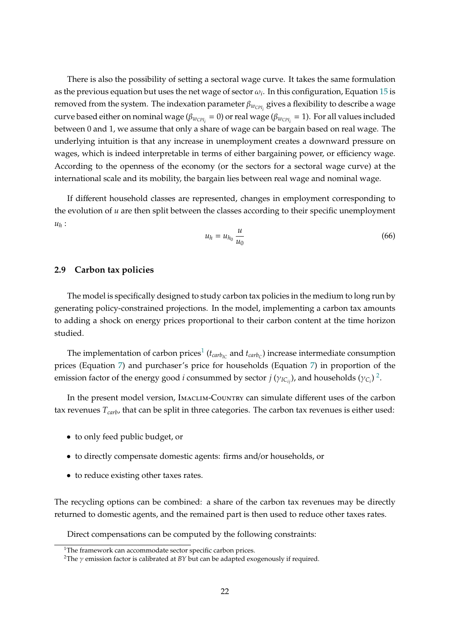There is also the possibility of setting a sectoral wage curve. It takes the same formulation as the previous equation but uses the net wage of sector  $\omega_i$ . In this configuration, Equation 15 is removed from the system. The indexation parameter  $\beta_{w_{\text{CPI}}}$  gives a flexibility to describe a wage curve based either on nominal wage ( $\beta_{w_{\text{CPI}_i}} = 0$ ) or real wage ( $\beta_{w_{\text{CPI}_i}} = 1$ ). For all values included between 0 and 1, we assume that only a share of wage can be bargain based on real wage. The underlying intuition is that any increase in unemployment creates a downward pressure on wages, which is indeed interpretable in terms of either bargaining power, or efficiency wage. According to the openness of the economy (or the sectors for a sectoral wage curve) at the international scale and its mobility, the bargain lies between real wage and nominal wage.

If different household classes are represented, changes in employment corresponding to the evolution of *u* are then split between the classes according to their specific unemployment *uh* :

$$
u_h = u_{h_0} \frac{u}{u_0} \tag{66}
$$

#### **2.9 Carbon tax policies**

The model is specifically designed to study carbon tax policies in the medium to long run by generating policy-constrained projections. In the model, implementing a carbon tax amounts to adding a shock on energy prices proportional to their carbon content at the time horizon studied.

The implementation of carbon prices<sup>1</sup> ( $t_{carb<sub>IC</sub>}$  and  $t_{carb<sub>C</sub>}$ ) increase intermediate consumption prices (Equation 7) and purchaser's price for households (Equation 7) in proportion of the emission factor of the energy good *i* consummed by sector  $j(\gamma_{IC_{ij}})$ , and households  $(\gamma_{C_i})^2$ .

In the present model version, Imaclim-Country can simulate different uses of the carbon tax revenues  $T_{\text{carb}}$ , that can be split in three categories. The carbon tax revenues is either used:

- to only feed public budget, or
- to directly compensate domestic agents: firms and/or households, or
- to reduce existing other taxes rates.

The recycling options can be combined: a share of the carbon tax revenues may be directly returned to domestic agents, and the remained part is then used to reduce other taxes rates.

Direct compensations can be computed by the following constraints:

 $1$ The framework can accommodate sector specific carbon prices.

<sup>&</sup>lt;sup>2</sup>The  $\gamma$  emission factor is calibrated at *BY* but can be adapted exogenously if required.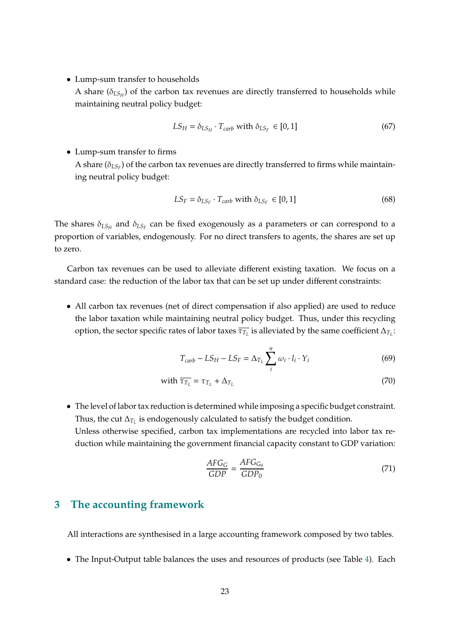• Lump-sum transfer to households

A share  $(\delta_{LS_H})$  of the carbon tax revenues are directly transferred to households while maintaining neutral policy budget:

$$
LS_H = \delta_{LS_H} \cdot T_{carb} \text{ with } \delta_{LS_F} \in [0, 1] \tag{67}
$$

#### • Lump-sum transfer to firms

A share  $(\delta_{LSF})$  of the carbon tax revenues are directly transferred to firms while maintaining neutral policy budget:

$$
LS_F = \delta_{LS_F} \cdot T_{carb} \text{ with } \delta_{LS_F} \in [0, 1] \tag{68}
$$

The shares  $\delta_{LS_H}$  and  $\delta_{LS_F}$  can be fixed exogenously as a parameters or can correspond to a proportion of variables, endogenously. For no direct transfers to agents, the shares are set up to zero.

Carbon tax revenues can be used to alleviate different existing taxation. We focus on a standard case: the reduction of the labor tax that can be set up under different constraints:

• All carbon tax revenues (net of direct compensation if also applied) are used to reduce the labor taxation while maintaining neutral policy budget. Thus, under this recycling option, the sector specific rates of labor taxes  $\overline{\tau_{T_L}}$  is alleviated by the same coefficient  $\Delta_{T_L}$ :

$$
T_{carb} - LS_H - LS_F = \Delta_{T_L} \sum_{i}^{n} \omega_i \cdot l_i \cdot Y_i
$$
 (69)

with 
$$
\overline{\tau_{T_L}} = \tau_{T_L} + \Delta_{T_L}
$$
 (70)

• The level of labor tax reduction is determined while imposing a specific budget constraint. Thus, the cut  $\Delta_{T_L}$  is endogenously calculated to satisfy the budget condition. Unless otherwise specified, carbon tax implementations are recycled into labor tax reduction while maintaining the government financial capacity constant to GDP variation:

$$
\frac{AFG_G}{GDP} = \frac{AFG_{G_0}}{GDP_0} \tag{71}
$$

## **3 The accounting framework**

All interactions are synthesised in a large accounting framework composed by two tables.

• The Input-Output table balances the uses and resources of products (see Table 4). Each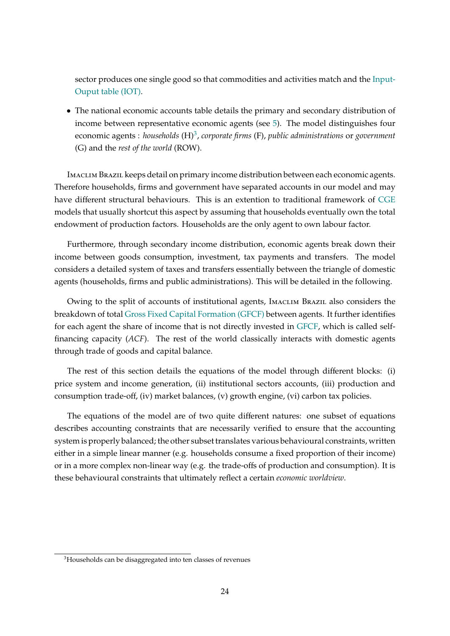sector produces one single good so that commodities and activities match and the Input-Ouput table (IOT).

• The national economic accounts table details the primary and secondary distribution of income between representative economic agents (see 5). The model distinguishes four economic agents : *households* (H)3, *corporate firms* (F), *public administrations* or *government* (G) and the *rest of the world* (ROW).

Imaclim Brazil keeps detail on primary income distribution between each economic agents. Therefore households, firms and government have separated accounts in our model and may have different structural behaviours. This is an extention to traditional framework of CGE models that usually shortcut this aspect by assuming that households eventually own the total endowment of production factors. Households are the only agent to own labour factor.

Furthermore, through secondary income distribution, economic agents break down their income between goods consumption, investment, tax payments and transfers. The model considers a detailed system of taxes and transfers essentially between the triangle of domestic agents (households, firms and public administrations). This will be detailed in the following.

Owing to the split of accounts of institutional agents, Imaclim Brazil also considers the breakdown of total Gross Fixed Capital Formation (GFCF) between agents. It further identifies for each agent the share of income that is not directly invested in GFCF, which is called selffinancing capacity (*ACF*). The rest of the world classically interacts with domestic agents through trade of goods and capital balance.

The rest of this section details the equations of the model through different blocks: (i) price system and income generation, (ii) institutional sectors accounts, (iii) production and consumption trade-off, (iv) market balances, (v) growth engine, (vi) carbon tax policies.

The equations of the model are of two quite different natures: one subset of equations describes accounting constraints that are necessarily verified to ensure that the accounting system is properly balanced; the other subset translates various behavioural constraints, written either in a simple linear manner (e.g. households consume a fixed proportion of their income) or in a more complex non-linear way (e.g. the trade-offs of production and consumption). It is these behavioural constraints that ultimately reflect a certain *economic worldview*.

<sup>&</sup>lt;sup>3</sup>Households can be disaggregated into ten classes of revenues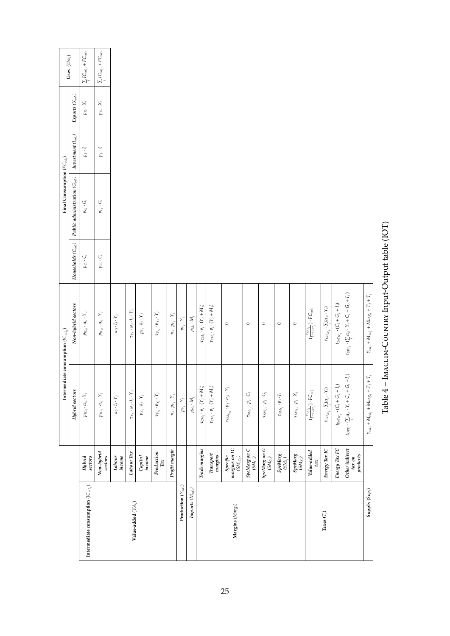|                                                              |                                                                       | Intermediate consumption $({\cal I}C_{val_{ij}})$                     |                                                              |                                                             | Final Consumption $(FC_{val_i})$    |                                                                |                       | Uses $(Use_i)$                                    |
|--------------------------------------------------------------|-----------------------------------------------------------------------|-----------------------------------------------------------------------|--------------------------------------------------------------|-------------------------------------------------------------|-------------------------------------|----------------------------------------------------------------|-----------------------|---------------------------------------------------|
|                                                              |                                                                       | Hybrid sectors                                                        | Non-hybrid sectors                                           | $\boldsymbol{Households\left(\mathcal{C}_{val_{i}}\right)}$ | Public administration $(G_{val_i})$ | $\boldsymbol{Investment}\left(\boldsymbol{I}_{val_{i}}\right)$ | Exports $(X_{val_i})$ |                                                   |
| Intermediate consumption $({\cal I}{\bf C}_{val_{ij}})$      | Hybrid<br>$sectors$                                                   | $p_{IC_{ij}}\cdot \alpha_{ij}\cdot Y_j$                               | $p_{IC_{ij}}\cdot \alpha_{ij}\cdot Y_j$                      | $p_{C_i} \cdot C_i$                                         | $p_{G_i} \cdot G_i$                 | $p_i\cdot I_i$                                                 | $p_{X_i} \cdot X_i$   | $\sum_{j}IC_{val_{ij}} + FC_{val_{i}}$            |
|                                                              | Non-hybrid<br>setors                                                  | $p_{IC_{ij}}\cdot \alpha_{ij}\cdot Y_j$                               | $p_{IC_{ij}}\cdot \alpha_{ij}\cdot Y_j$                      | $p_{C_i} \cdot C_i$                                         | $p_{G_i} \cdot G_i$                 | $p_{l_i} \cdot I_i$                                            | $p_{X_i} \cdot X_i$   | $\sum_j {\cal IC}_{val_{ij}} + {\cal FC}_{val_i}$ |
|                                                              | income<br>Labour                                                      | $\omega_j\cdot l_j\cdot Y_j$                                          | $\omega_j\cdot l_j\cdot Y_j$                                 |                                                             |                                     |                                                                |                       |                                                   |
| Value-added $(V\!A_j)$                                       | $\label{eq:color} \textit{Labor Tax}$                                 | $\tau_{T_L} \cdot \omega_j \cdot l_j \cdot Y_j$                       | $\tau_{T_L}\cdot \omega_j\cdot l_j\cdot Y_j$                 |                                                             |                                     |                                                                |                       |                                                   |
|                                                              | Capital<br>income                                                     | $p_{K_j}\cdot k_j\cdot Y_j$                                           | $p_{K_j}\cdot k_j\cdot Y_j$                                  |                                                             |                                     |                                                                |                       |                                                   |
|                                                              | Production<br>$\mathrm{Iax}$                                          | $\tau_{T_{Y_j}}\cdot p_{Y_j}\cdot Y_j$                                | $\tau_{T_{Y_i}}\cdot p_{Y_j}\cdot Y_j$                       |                                                             |                                     |                                                                |                       |                                                   |
|                                                              | Profit margin                                                         | $\pi_j \cdot p_{Y_j} \cdot Y_j$                                       | $\pi_j \cdot p_{Y_j} \cdot Y_j$                              |                                                             |                                     |                                                                |                       |                                                   |
| Production $(Y_{\mathit{val}_j})$                            |                                                                       | $p_{Y_j} \cdot Y_j$                                                   | $p_{Y_j} \cdot Y_j$                                          |                                                             |                                     |                                                                |                       |                                                   |
| $\boldsymbol{Imports}\left( \boldsymbol{M}_{val_{i}}\right)$ |                                                                       | $p_{M_j} \cdot M_j$                                                   | $p_{M_j}\cdot M_j$                                           |                                                             |                                     |                                                                |                       |                                                   |
|                                                              | Trade margins                                                         | $\tau_{CM_j}\cdot p_j\cdot (Y_j+M_j)$                                 | $\tau_{CM_j}\cdot p_j\cdot (Y_j+M_j)$                        |                                                             |                                     |                                                                |                       |                                                   |
|                                                              | $\label{eq:transport} \textit{Transport}$<br>margins                  | $\tau_{TM_j}\cdot p_j\cdot (Y_j+M_j)$                                 | $\tau_{TM_j}\cdot p_j\cdot (Y_j+M_j)$                        |                                                             |                                     |                                                                |                       |                                                   |
| $\mathbf{Margins}\left( Marg_{j}\right)$                     | Specific<br>margins on IC<br>(SM <sub>IC<sub>I</sub>)</sub> )         | $\tau_{SM_{\mathcal{K}_{ij}}}\cdot p_j\cdot \alpha_{ji}\cdot Y_j$     | $\circ$                                                      |                                                             |                                     |                                                                |                       |                                                   |
|                                                              | $S$ peMarg on C<br>$(SM_{C_i})$                                       | $\tau_{S M_{C_j}} \cdot p_j \cdot C_j$                                | $\circ$                                                      |                                                             |                                     |                                                                |                       |                                                   |
|                                                              | $SpdMarg on G(SMGj)$                                                  | $\tau_{\mathit{SM}_{G_j}}\cdot p_j\cdot G_j$                          | $\circ$                                                      |                                                             |                                     |                                                                |                       |                                                   |
|                                                              | $\begin{array}{c} \textit{SpeMarg}\\ \textit{(SM_{1_i})} \end{array}$ | $\tau_{SM_{I_j}}\cdot p_j\cdot I_j$                                   | $\circ$                                                      |                                                             |                                     |                                                                |                       |                                                   |
|                                                              | $\mathit{SpelMarg}\xspace_{(SM_X)}$                                   | $\tau_{\text{SM}_{X_j}}\cdot p_j\cdot X_j$                            | $\circ$                                                      |                                                             |                                     |                                                                |                       |                                                   |
|                                                              | $Value-added \\ tax$                                                  | $(\frac{\tau_{VAT_j}}{1-\tau_{VAT_j}}) \cdot FC_{val_j}$              | $(\frac{\tau_{VAT_j}}{1-\tau_{VAT_j}})\cdot FC_{val_j}$      |                                                             |                                     |                                                                |                       |                                                   |
| Taxes $(T_j)$                                                | Energy Tax IC                                                         | $t_{\mathrm{EnT}_{\mathrm{IC}_j}}\cdot \sum_i (\alpha_{ji}\cdot Y_i)$ | $t_{EnT_{IC_j}}\cdot \sum_i(\alpha_{ji}\cdot Y_i)$           |                                                             |                                     |                                                                |                       |                                                   |
|                                                              | Energy $\operatorname{TarFC}$                                         | $t_{\text{Err}_{\text{FC}_j}}\cdot (C_j + C_j + I_j)$                 | $t_{E\circ T_{FC_j}}\cdot (C_j + G_j + I_j)$                 |                                                             |                                     |                                                                |                       |                                                   |
|                                                              | Other indirect<br>products<br>$\boldsymbol{u}$ $\boldsymbol{u}$       | $t_{OPT_j}\cdot (\sum_i \alpha_{ji}\cdot Y_i + C_j + G_j + I_j)$      | $t_{OPT}$ , $(\sum \alpha_{ji} \cdot Y_i + C_j + C_j + I_j)$ |                                                             |                                     |                                                                |                       |                                                   |
| Supply (Sup <sub>i</sub> )                                   |                                                                       | $Y_{val_i} + M_{val_i} + Mars_j + T_j + T_j$                          | $Y_{val_j}$ + $M_{val_j}$ + $Mars_j$ + $T_j$ + $T_j$         |                                                             |                                     |                                                                |                       |                                                   |

| i<br>J<br>J                |  |
|----------------------------|--|
|                            |  |
| $\sim$   $\sim$   $\sim$   |  |
|                            |  |
| i<br>I<br>ł                |  |
|                            |  |
| va val<br>.<br>-<br>-<br>- |  |
|                            |  |
|                            |  |
| IACLIM-COUNTRY INI         |  |
|                            |  |
|                            |  |
|                            |  |
|                            |  |
|                            |  |
|                            |  |
| $\frac{1}{2}$              |  |
|                            |  |
| $\breve{\vec{p}}$          |  |
|                            |  |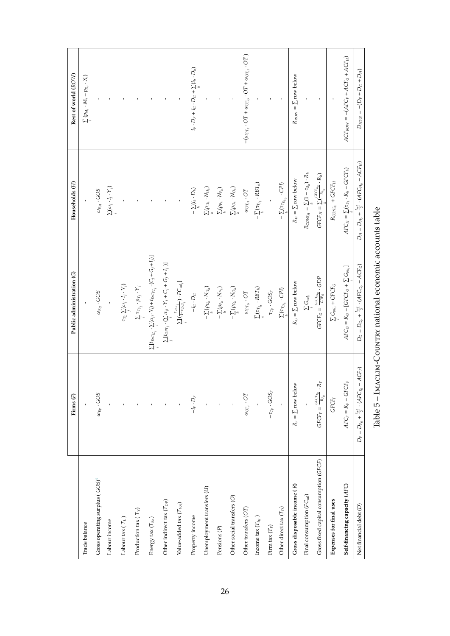|                                             | Firms <sup>(F)</sup>                                       | Public administration (G)                                                                               | Households (H)                                                 | Rest of world (ROW)                                                           |
|---------------------------------------------|------------------------------------------------------------|---------------------------------------------------------------------------------------------------------|----------------------------------------------------------------|-------------------------------------------------------------------------------|
| Trade balance                               |                                                            |                                                                                                         |                                                                | $\sum_i (p_{M_i} \cdot M_i - p_{X_i} \cdot X_i)$                              |
| Gross operating surplus (GOS) <sup>4</sup>  | $\omega_{K_{F}}\cdot GOS$                                  | $\omega_{K_G} \cdot GOS$                                                                                | $\omega_{K_H} \cdot GOS$                                       |                                                                               |
| Labour income                               |                                                            |                                                                                                         | $\sum\limits_{j}(\omega_j\cdot l_j\cdot Y_j)$                  |                                                                               |
| Labour tax ( $T_{\rm L}$ )                  |                                                            | $\tau_{T_L} \sum_i (\omega_j \cdot l_j \cdot Y_j)$                                                      |                                                                |                                                                               |
| Production tax $(T_Y)$                      |                                                            | $\sum_i \tau_{T_{Y_j}} \cdot p_{Y_j} \cdot Y_j$                                                         |                                                                |                                                                               |
| Energy tax $(T_{En})$                       |                                                            | $\sum_j [t_{EnT_{IC_j}} \cdot \sum_i (\alpha_{ji} \cdot Y_i) + t_{EnT_{FC_j}} \cdot (C_j + G_j + I_j)]$ |                                                                |                                                                               |
| Other indirect tax $(T_{OP})$               |                                                            | $\sum_j [t_{OPT_j} \cdot (\sum_i \alpha_{ji} \cdot Y_i + C_j + G_j + I_j)]$                             |                                                                |                                                                               |
| Value-added tax $(T_{\mathit{VA}})$         |                                                            | $\sum_{j} [(\frac{\tau_{VAT_j}}{1-\tau_{VAT_j}}) \cdot FC_{val_j}]$                                     |                                                                |                                                                               |
| Property income                             | $-i_F\cdot D_F$                                            | $-i_G\cdot D_G$                                                                                         | $-\sum\limits_{h} (i_h \cdot D_h)$                             | $i_F \cdot D_F + i_G \cdot D_G + \sum_i (i_h \cdot D_h)$                      |
| Unemployment transfers (U)                  |                                                            | $-\sum_h(\rho_{U_h}\cdot N_{U_h})$                                                                      | $\sum_h (\rho_{U_h} \cdot N_{U_h})$                            |                                                                               |
| Pensions $(P)$                              | $\bar{\rm t}$                                              | $-\sum_h(\rho_{P_h}\cdot N_{P_h})$                                                                      | $\sum\limits_{h}(\rho_{P_h}\cdot N_{P_h})$                     |                                                                               |
| Other social transfers (O)                  |                                                            | $-\sum\limits_{h}(\rho_{\mathcal{O}_h}\cdot N_{\mathcal{O}_h})$                                         | $\sum\limits_{h}(\rho_{\mathcal{O}_h}\cdot N_{\mathcal{O}_h})$ |                                                                               |
| Other transfers (OT)                        | $\omega_{OT_F} \cdot OT$                                   | $\omega_{\text{OT}_G} \cdot \text{OT}$                                                                  | $\omega_{OT_H} \cdot OT$                                       | $-(\omega_{OT_F} \cdot OT + \omega_{OT_G} \cdot OT + \omega_{OT_H} \cdot OT)$ |
| Income tax $(T_{I\!H}^{\phantom{\dagger}})$ |                                                            | $\sum_h(\tau_{T_{h_h}}\cdot RBT_h)$                                                                     | $-\sum_h(\tau_{T_{J_h}}\cdot RBT_h)$                           |                                                                               |
| Firm tax $(T_F)$                            | $-\tau_{T_F} \cdot GOS_F$                                  | $\tau_{T_F} \cdot GOS_F$                                                                                |                                                                |                                                                               |
| Other direct tax $(T_D)$                    |                                                            | $\sum_{\tau}(\tau_{T_{D_h}}\cdot CPI)$                                                                  | $-\sum\limits_{i_\tau}(\tau_{T_{D_{h_0}}}\cdot CPJ)$           |                                                                               |
| Gross disposable income (R)                 | $R_F = \sum$ row below                                     | $R_G = \sum$ row below                                                                                  | $R_H = \sum$ row below                                         | $R_{ROW} = \sum row$ below                                                    |
| Final consumption $(FC_{val})$              |                                                            | $\sum\limits_i\mathbb{G}_{val_i}$                                                                       | $R_{\rm{CONS_H}} = \sum_{k} (1 - \tau_{S_h}) \cdot R_h$        |                                                                               |
| Gross fixed capital consumption (GFCF)      | $GFCF_F = \frac{GFCF_{E_0}}{R_{F_0}} \cdot R_F$            | $GFCF_G = \frac{GFCF_{G0}}{GDP_0} \cdot GDP$                                                            | $GFCF_H = \sum_i (\frac{GFCF_{h0}}{R_{h0}} \cdot R_h)$         |                                                                               |
| Expenses for final uses                     | $GFCF_F$                                                   | $\sum_{i} G_{val_i} + GFCF_G$                                                                           | $R_{\rm CONS_H}+GFCF_H$                                        | $\mathbf{I}$                                                                  |
| Self-financing capacity (AFC)               | $AFC_F = R_F - GFCF_F$                                     | $\label{eq:AFC_G} \textit{AFC}_G = R_G - [\textit{GFCF}_G + \sum G_{val_i}]$                            | $AFC_H = \sum(\tau_{S_h} \cdot R_h - GFCF_h)$                  | $ACF_{ROW} = -(AFC_F + ACF_G + ACF_H)$                                        |
| Net financial debt (D)                      | $-ACF_F$<br>$D_F=D_{F_0}+\frac{t_{ref}}{2}\cdot(AFC_{F_0}$ | $D_G=D_{G_0}+\frac{t_{ref}}{2}\cdot(AFC_{G_0}-ACF_G)$                                                   | $D_H=D_{H_0}+\frac{t_{ref}}{2}\cdot(AFC_{H_0}-ACF_H)$          | $D_{ROW} = -(D_F + D_G + D_H)$                                                |
|                                             |                                                            |                                                                                                         |                                                                |                                                                               |

Table 5 - IMACLIM-COUNTRY national economic accounts table Table 5 – Imaclim-Country national economic accounts table